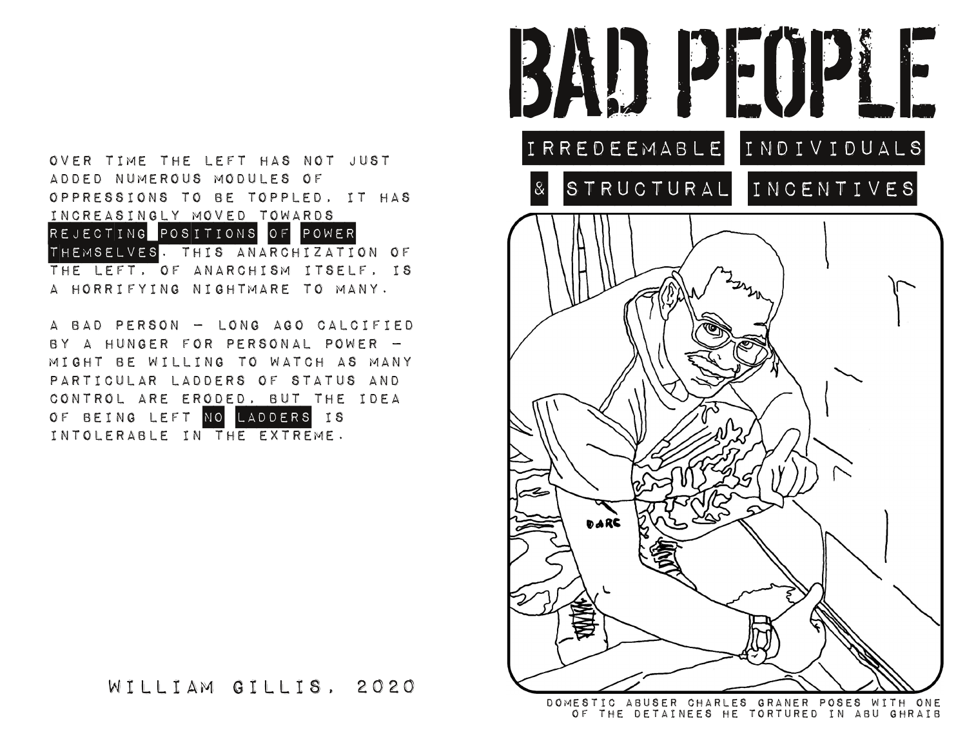OVER TIME THE LEFT HAS NOT JUST ADDED NUMEROUS MODULES OF OPPRESSIONS TO BE TOPPLED, IT HAS INCREASINGLY MOVED TOWARDS REJECTING POSITIONS OF POWER THEMSELVES. THIS ANARCHIZATION OF THE LEFT, OF ANARCHISM ITSELF, IS A HORRIFYING NIGHTMARE TO MANY.

A BAD PERSON - LONG AGO CALCIFIED BY A HUNGER FOR PERSONAL POWER -MIGHT BE WILLING TO WATCH AS MANY PARTICULAR LADDERS OF STATUS AND CONTROL ARE ERODED, BUT THE IDEA OF BEING LEFT NO LADDERS IS INTOLERABLE IN THE EXTREME.

WILLIAM GILLIS, 2020



DOMESTIC ABUSER CHARLES GRANER POSES WITH ONE OF THE DETAINEES HE TORTURED IN ABU GHRAIB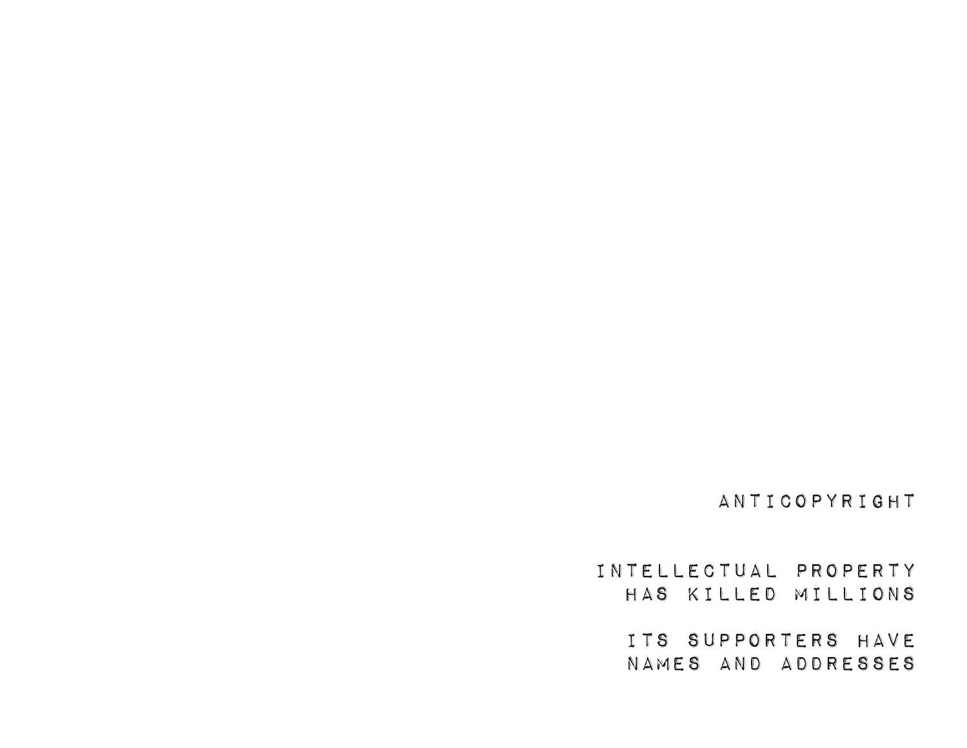HAS KILLED MILLIONS ITS SUPPORTERS HAVE NAMES AND ADDRESSES

INTELLECTUAL PROPERTY

ANTICOPYRIGHT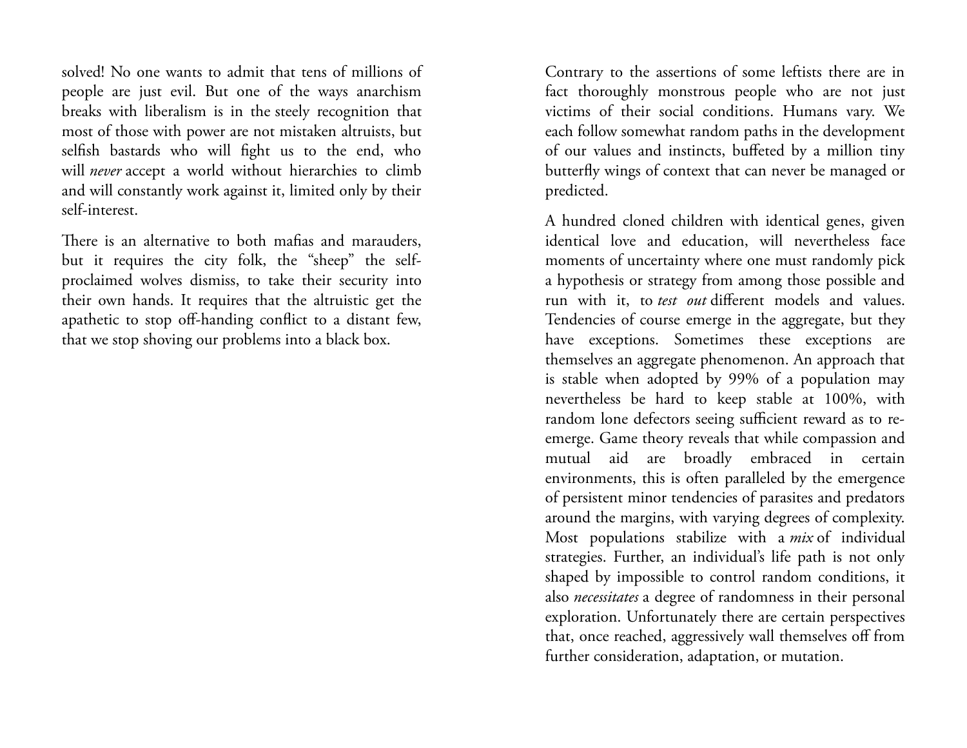solved! No one wants to admit that tens of millions of people are just evil. But one of the ways anarchism breaks with liberalism is in the steely recognition that most of those with power are not mistaken altruists, but selfish bastards who will fight us to the end, who will *never* accept a world without hierarchies to climb and will constantly work against it, limited only by their self-interest.

There is an alternative to both mafias and marauders, but it requires the city folk, the "sheep" the selfproclaimed wolves dismiss, to take their security into their own hands. It requires that the altruistic get the apathetic to stop off-handing conflict to a distant few, that we stop shoving our problems into a black box.

Contrary to the assertions of some leftists there are in fact thoroughly monstrous people who are not just victims of their social conditions. Humans vary. We each follow somewhat random paths in the development of our values and instincts, buffeted by a million tiny butterfly wings of context that can never be managed or predicted.

A hundred cloned children with identical genes, given identical love and education, will nevertheless face moments of uncertainty where one must randomly pick a hypothesis or strategy from among those possible and run with it, to *test out* different models and values. Tendencies of course emerge in the aggregate, but they have exceptions. Sometimes these exceptions are themselves an aggregate phenomenon. An approach that is stable when adopted by 99% of a population may nevertheless be hard to keep stable at 100%, with random lone defectors seeing sufficient reward as to reemerge. Game theory reveals that while compassion and mutual aid are broadly embraced in certain environments, this is often paralleled by the emergence of persistent minor tendencies of parasites and predators around the margins, with varying degrees of complexity. Most populations stabilize with a *mix* of individual strategies. Further, an individual's life path is not only shaped by impossible to control random conditions, it also *necessitates* a degree of randomness in their personal exploration. Unfortunately there are certain perspectives that, once reached, aggressively wall themselves off from further consideration, adaptation, or mutation.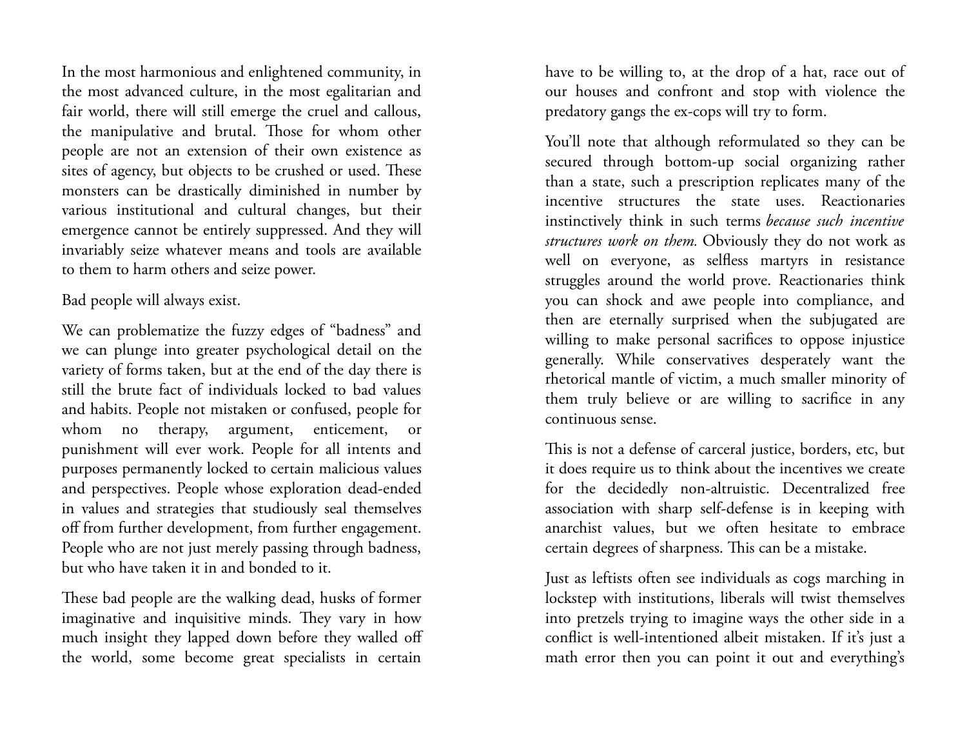In the most harmonious and enlightened community, in the most advanced culture, in the most egalitarian and fair world, there will still emerge the cruel and callous, the manipulative and brutal. Those for whom other people are not an extension of their own existence as sites of agency, but objects to be crushed or used. These monsters can be drastically diminished in number by various institutional and cultural changes, but their emergence cannot be entirely suppressed. And they will invariably seize whatever means and tools are available to them to harm others and seize power.

Bad people will always exist.

We can problematize the fuzzy edges of "badness" and we can plunge into greater psychological detail on the variety of forms taken, but at the end of the day there is still the brute fact of individuals locked to bad values and habits. People not mistaken or confused, people for whom no therapy, argument, enticement, or punishment will ever work. People for all intents and purposes permanently locked to certain malicious values and perspectives. People whose exploration dead-ended in values and strategies that studiously seal themselves off from further development, from further engagement. People who are not just merely passing through badness, but who have taken it in and bonded to it.

These bad people are the walking dead, husks of former imaginative and inquisitive minds. They vary in how much insight they lapped down before they walled off the world, some become great specialists in certain

have to be willing to, at the drop of a hat, race out of our houses and confront and stop with violence the predatory gangs the ex-cops will try to form.

You'll note that although reformulated so they can be secured through bottom-up social organizing rather than a state, such a prescription replicates many of the incentive structures the state uses. Reactionaries instinctively think in such terms *because such incentive structures work on them.* Obviously they do not work as well on everyone, as selfless martyrs in resistance struggles around the world prove. Reactionaries think you can shock and awe people into compliance, and then are eternally surprised when the subjugated are willing to make personal sacrifices to oppose injustice generally. While conservatives desperately want the rhetorical mantle of victim, a much smaller minority of them truly believe or are willing to sacrifice in any continuous sense.

This is not a defense of carceral justice, borders, etc, but it does require us to think about the incentives we create for the decidedly non-altruistic. Decentralized free association with sharp self-defense is in keeping with anarchist values, but we often hesitate to embrace certain degrees of sharpness. This can be a mistake.

Just as leftists often see individuals as cogs marching in lockstep with institutions, liberals will twist themselves into pretzels trying to imagine ways the other side in a conflict is well-intentioned albeit mistaken. If it's just a math error then you can point it out and everything's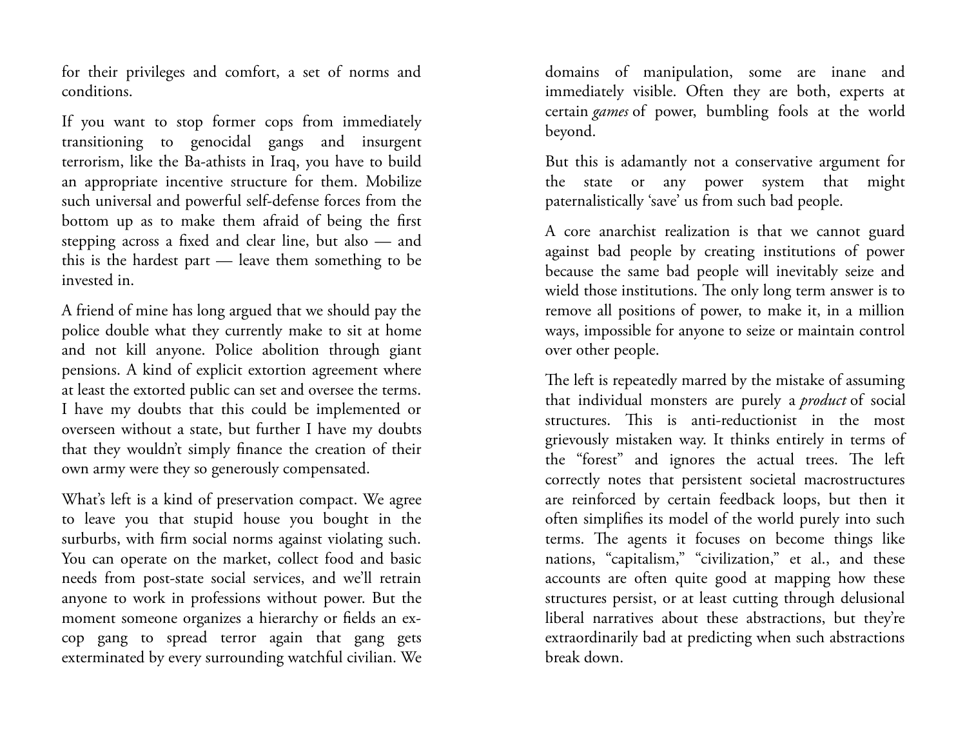for their privileges and comfort, a set of norms and conditions.

If you want to stop former cops from immediately transitioning to genocidal gangs and insurgent terrorism, like the Ba-athists in Iraq, you have to build an appropriate incentive structure for them. Mobilize such universal and powerful self-defense forces from the bottom up as to make them afraid of being the first stepping across a fixed and clear line, but also — and this is the hardest part — leave them something to be invested in.

A friend of mine has long argued that we should pay the police double what they currently make to sit at home and not kill anyone. Police abolition through giant pensions. A kind of explicit extortion agreement where at least the extorted public can set and oversee the terms. I have my doubts that this could be implemented or overseen without a state, but further I have my doubts that they wouldn't simply finance the creation of their own army were they so generously compensated.

What's left is a kind of preservation compact. We agree to leave you that stupid house you bought in the surburbs, with firm social norms against violating such. You can operate on the market, collect food and basic needs from post-state social services, and we'll retrain anyone to work in professions without power. But the moment someone organizes a hierarchy or fields an excop gang to spread terror again that gang gets exterminated by every surrounding watchful civilian. We

domains of manipulation, some are inane and immediately visible. Often they are both, experts at certain *games* of power, bumbling fools at the world beyond.

But this is adamantly not a conservative argument for the state or any power system that might paternalistically 'save' us from such bad people.

A core anarchist realization is that we cannot guard against bad people by creating institutions of power because the same bad people will inevitably seize and wield those institutions. The only long term answer is to remove all positions of power, to make it, in a million ways, impossible for anyone to seize or maintain control over other people.

The left is repeatedly marred by the mistake of assuming that individual monsters are purely a *product* of social structures. This is anti-reductionist in the most grievously mistaken way. It thinks entirely in terms of the "forest" and ignores the actual trees. The left correctly notes that persistent societal macrostructures are reinforced by certain feedback loops, but then it often simplifies its model of the world purely into such terms. The agents it focuses on become things like nations, "capitalism," "civilization," et al., and these accounts are often quite good at mapping how these structures persist, or at least cutting through delusional liberal narratives about these abstractions, but they're extraordinarily bad at predicting when such abstractions break down.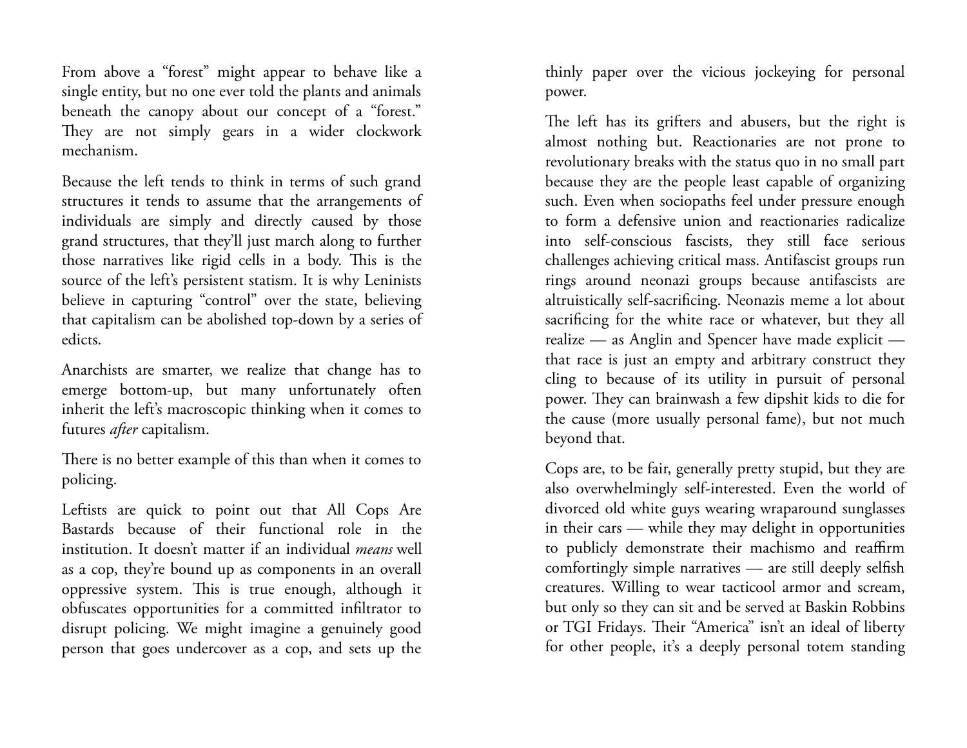From above a "forest" might appear to behave like a single entity, but no one ever told the plants and animals beneath the canopy about our concept of a "forest." They are not simply gears in a wider clockwork mechanism.

Because the left tends to think in terms of such grand structures it tends to assume that the arrangements of individuals are simply and directly caused by those grand structures, that they'll just march along to further those narratives like rigid cells in a body. This is the source of the left's persistent statism. It is why Leninists believe in capturing "control" over the state, believing that capitalism can be abolished top-down by a series of edicts.

Anarchists are smarter, we realize that change has to emerge bottom-up, but many unfortunately often inherit the left's macroscopic thinking when it comes to futures *after* capitalism.

There is no better example of this than when it comes to policing.

Leftists are quick to point out that All Cops Are Bastards because of their functional role in the institution. It doesn't matter if an individual *means* well as a cop, they're bound up as components in an overall oppressive system. This is true enough, although it obfuscates opportunities for a committed infiltrator to disrupt policing. We might imagine a genuinely good person that goes undercover as a cop, and sets up the

thinly paper over the vicious jockeying for personal power.

The left has its grifters and abusers, but the right is almost nothing but. Reactionaries are not prone to revolutionary breaks with the status quo in no small part because they are the people least capable of organizing such. Even when sociopaths feel under pressure enough to form a defensive union and reactionaries radicalize into self-conscious fascists, they still face serious challenges achieving critical mass. Antifascist groups run rings around neonazi groups because antifascists are altruistically self-sacrificing. Neonazis meme a lot about sacrificing for the white race or whatever, but they all realize — as Anglin and Spencer have made explicit that race is just an empty and arbitrary construct they cling to because of its utility in pursuit of personal power. They can brainwash a few dipshit kids to die for the cause (more usually personal fame), but not much beyond that.

Cops are, to be fair, generally pretty stupid, but they are also overwhelmingly self-interested. Even the world of divorced old white guys wearing wraparound sunglasses in their cars — while they may delight in opportunities to publicly demonstrate their machismo and reaffirm comfortingly simple narratives — are still deeply selfish creatures. Willing to wear tacticool armor and scream, but only so they can sit and be served at Baskin Robbins or TGI Fridays. Their "America" isn't an ideal of liberty for other people, it's a deeply personal totem standing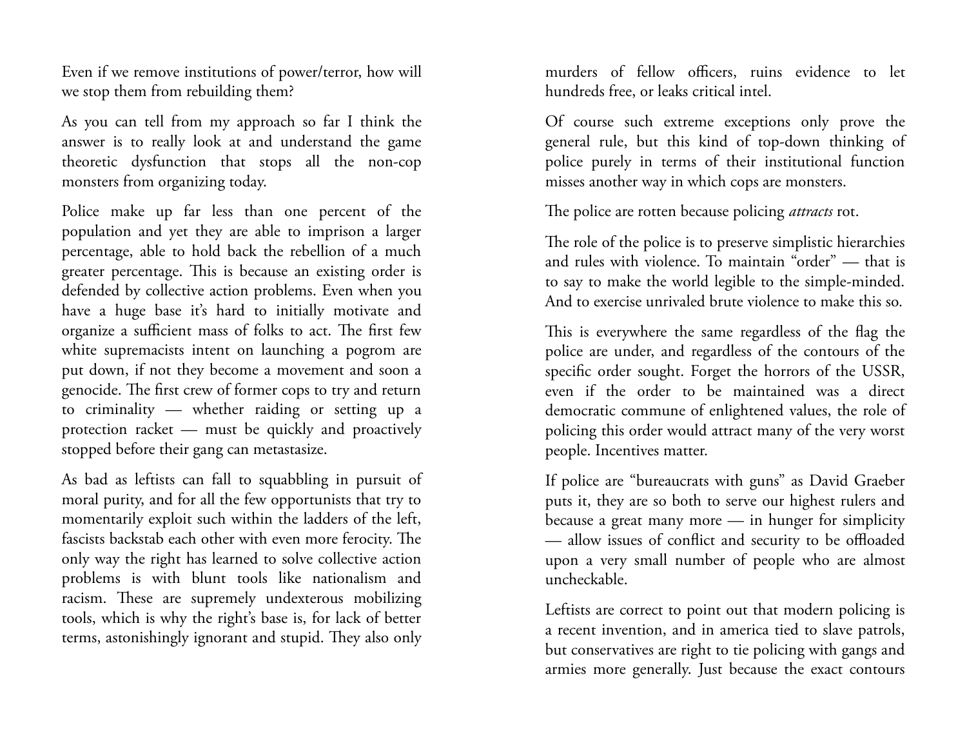Even if we remove institutions of power/terror, how will we stop them from rebuilding them?

As you can tell from my approach so far I think the answer is to really look at and understand the game theoretic dysfunction that stops all the non-cop monsters from organizing today.

Police make up far less than one percent of the population and yet they are able to imprison a larger percentage, able to hold back the rebellion of a much greater percentage. This is because an existing order is defended by collective action problems. Even when you have a huge base it's hard to initially motivate and organize a sufficient mass of folks to act. The first few white supremacists intent on launching a pogrom are put down, if not they become a movement and soon a genocide. The first crew of former cops to try and return to criminality — whether raiding or setting up a protection racket — must be quickly and proactively stopped before their gang can metastasize.

As bad as leftists can fall to squabbling in pursuit of moral purity, and for all the few opportunists that try to momentarily exploit such within the ladders of the left, fascists backstab each other with even more ferocity. The only way the right has learned to solve collective action problems is with blunt tools like nationalism and racism. These are supremely undexterous mobilizing tools, which is why the right's base is, for lack of better terms, astonishingly ignorant and stupid. They also only

murders of fellow officers, ruins evidence to let hundreds free, or leaks critical intel.

Of course such extreme exceptions only prove the general rule, but this kind of top-down thinking of police purely in terms of their institutional function misses another way in which cops are monsters.

The police are rotten because policing *attracts* rot.

The role of the police is to preserve simplistic hierarchies and rules with violence. To maintain "order" — that is to say to make the world legible to the simple-minded. And to exercise unrivaled brute violence to make this so.

This is everywhere the same regardless of the flag the police are under, and regardless of the contours of the specific order sought. Forget the horrors of the USSR, even if the order to be maintained was a direct democratic commune of enlightened values, the role of policing this order would attract many of the very worst people. Incentives matter.

If police are "bureaucrats with guns" as David Graeber puts it, they are so both to serve our highest rulers and because a great many more — in hunger for simplicity — allow issues of conflict and security to be offloaded upon a very small number of people who are almost uncheckable.

Leftists are correct to point out that modern policing is a recent invention, and in america tied to slave patrols, but conservatives are right to tie policing with gangs and armies more generally. Just because the exact contours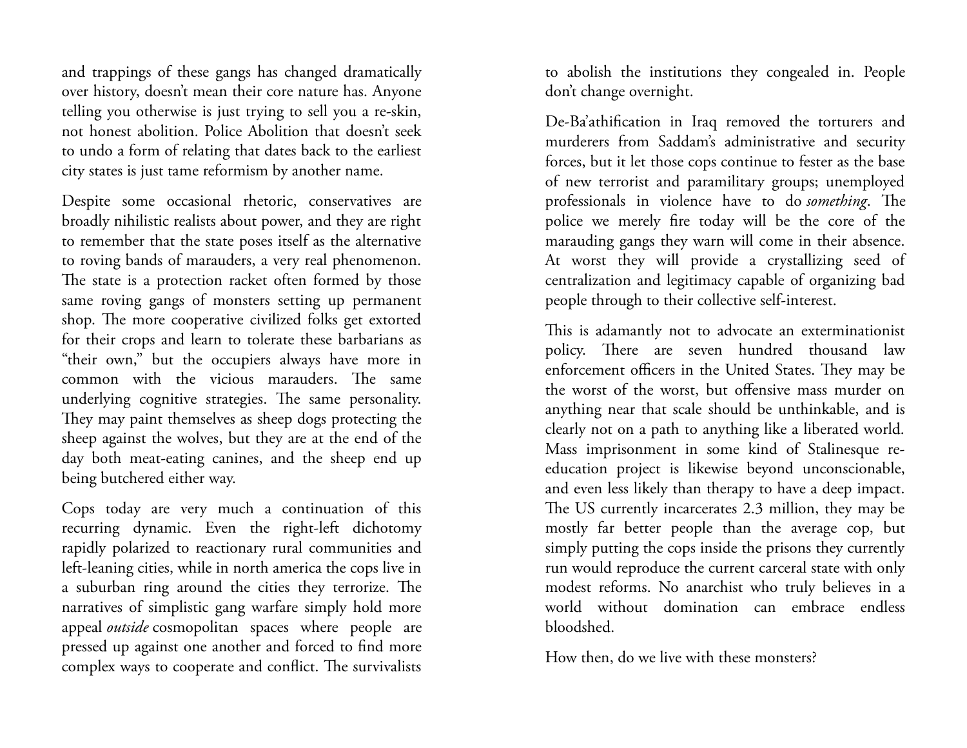and trappings of these gangs has changed dramatically over history, doesn't mean their core nature has. Anyone telling you otherwise is just trying to sell you a re-skin, not honest abolition. Police Abolition that doesn't seek to undo a form of relating that dates back to the earliest city states is just tame reformism by another name.

Despite some occasional rhetoric, conservatives are broadly nihilistic realists about power, and they are right to remember that the state poses itself as the alternative to roving bands of marauders, a very real phenomenon. The state is a protection racket often formed by those same roving gangs of monsters setting up permanent shop. The more cooperative civilized folks get extorted for their crops and learn to tolerate these barbarians as "their own," but the occupiers always have more in common with the vicious marauders. The same underlying cognitive strategies. The same personality. They may paint themselves as sheep dogs protecting the sheep against the wolves, but they are at the end of the day both meat-eating canines, and the sheep end up being butchered either way.

Cops today are very much a continuation of this recurring dynamic. Even the right-left dichotomy rapidly polarized to reactionary rural communities and left-leaning cities, while in north america the cops live in a suburban ring around the cities they terrorize. The narratives of simplistic gang warfare simply hold more appeal *outside* cosmopolitan spaces where people are pressed up against one another and forced to find more complex ways to cooperate and conflict. The survivalists

to abolish the institutions they congealed in. People don't change overnight.

De-Ba'athification in Iraq removed the torturers and murderers from Saddam's administrative and security forces, but it let those cops continue to fester as the base of new terrorist and paramilitary groups; unemployed professionals in violence have to do *something*. The police we merely fire today will be the core of the marauding gangs they warn will come in their absence. At worst they will provide a crystallizing seed of centralization and legitimacy capable of organizing bad people through to their collective self-interest.

This is adamantly not to advocate an exterminationist policy. There are seven hundred thousand law enforcement officers in the United States. They may be the worst of the worst, but offensive mass murder on anything near that scale should be unthinkable, and is clearly not on a path to anything like a liberated world. Mass imprisonment in some kind of Stalinesque reeducation project is likewise beyond unconscionable, and even less likely than therapy to have a deep impact. The US currently incarcerates 2.3 million, they may be mostly far better people than the average cop, but simply putting the cops inside the prisons they currently run would reproduce the current carceral state with only modest reforms. No anarchist who truly believes in a world without domination can embrace endless bloodshed.

How then, do we live with these monsters?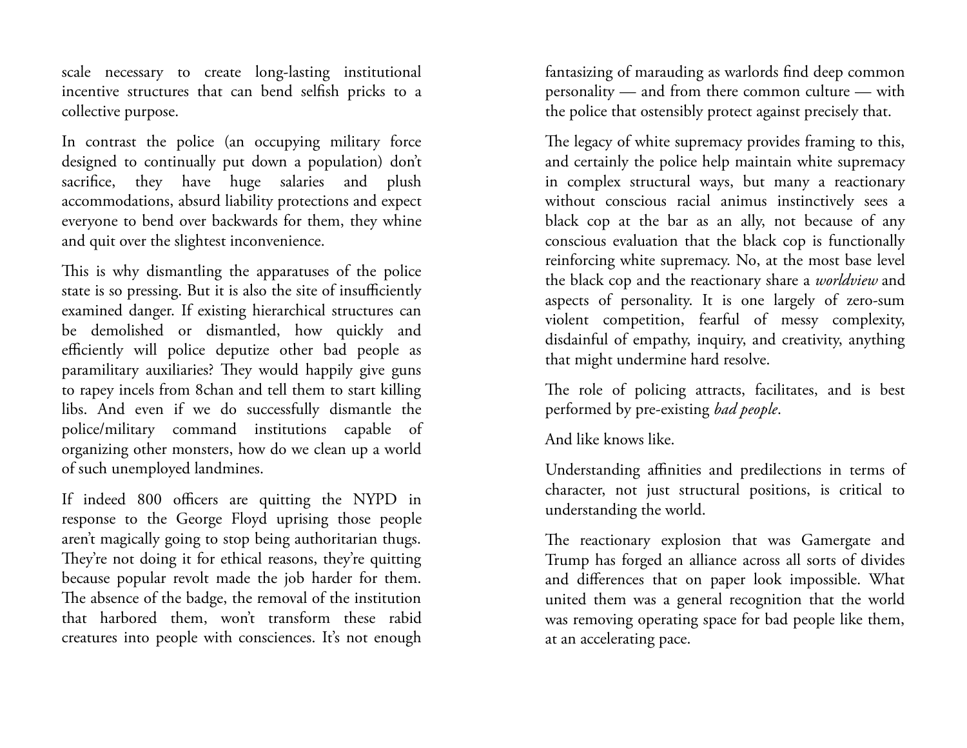scale necessary to create long-lasting institutional incentive structures that can bend selfish pricks to a collective purpose.

In contrast the police (an occupying military force designed to continually put down a population) don't sacrifice, they have huge salaries and plush accommodations, absurd liability protections and expect everyone to bend over backwards for them, they whine and quit over the slightest inconvenience.

This is why dismantling the apparatuses of the police state is so pressing. But it is also the site of insufficiently examined danger. If existing hierarchical structures can be demolished or dismantled, how quickly and efficiently will police deputize other bad people as paramilitary auxiliaries? They would happily give guns to rapey incels from 8chan and tell them to start killing libs. And even if we do successfully dismantle the police/military command institutions capable of organizing other monsters, how do we clean up a world of such unemployed landmines.

If indeed 800 officers are quitting the NYPD in response to the George Floyd uprising those people aren't magically going to stop being authoritarian thugs. They're not doing it for ethical reasons, they're quitting because popular revolt made the job harder for them. The absence of the badge, the removal of the institution that harbored them, won't transform these rabid creatures into people with consciences. It's not enough

fantasizing of marauding as warlords find deep common personality — and from there common culture — with the police that ostensibly protect against precisely that.

The legacy of white supremacy provides framing to this, and certainly the police help maintain white supremacy in complex structural ways, but many a reactionary without conscious racial animus instinctively sees a black cop at the bar as an ally, not because of any conscious evaluation that the black cop is functionally reinforcing white supremacy. No, at the most base level the black cop and the reactionary share a *worldview* and aspects of personality. It is one largely of zero-sum violent competition, fearful of messy complexity, disdainful of empathy, inquiry, and creativity, anything that might undermine hard resolve.

The role of policing attracts, facilitates, and is best performed by pre-existing *bad people*.

And like knows like.

Understanding affinities and predilections in terms of character, not just structural positions, is critical to understanding the world.

The reactionary explosion that was Gamergate and Trump has forged an alliance across all sorts of divides and differences that on paper look impossible. What united them was a general recognition that the world was removing operating space for bad people like them, at an accelerating pace.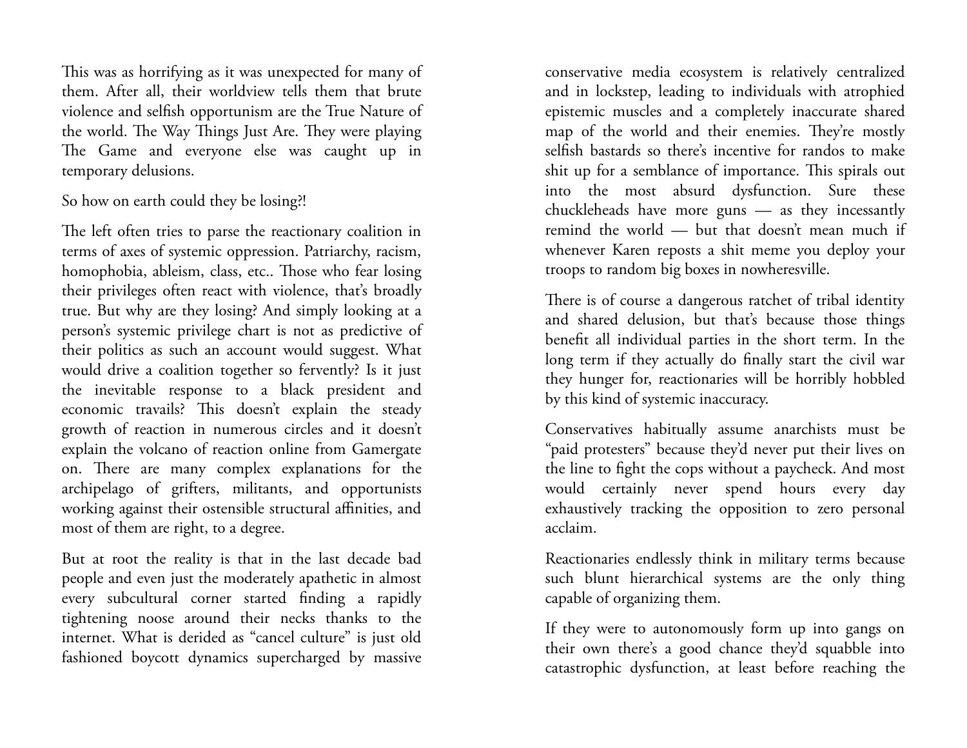This was as horrifying as it was unexpected for many of them. After all, their worldview tells them that brute violence and selfish opportunism are the True Nature of the world. The Way Things Just Are. They were playing The Game and everyone else was caught up in temporary delusions.

So how on earth could they be losing?!

The left often tries to parse the reactionary coalition in terms of axes of systemic oppression. Patriarchy, racism, homophobia, ableism, class, etc.. Those who fear losing their privileges often react with violence, that's broadly true. But why are they losing? And simply looking at a person's systemic privilege chart is not as predictive of their politics as such an account would suggest. What would drive a coalition together so fervently? Is it just the inevitable response to a black president and economic travails? This doesn't explain the steady growth of reaction in numerous circles and it doesn't explain the volcano of reaction online from Gamergate on. There are many complex explanations for the archipelago of grifters, militants, and opportunists working against their ostensible structural affinities, and most of them are right, to a degree.

But at root the reality is that in the last decade bad people and even just the moderately apathetic in almost every subcultural corner started finding a rapidly tightening noose around their necks thanks to the internet. What is derided as "cancel culture" is just old fashioned boycott dynamics supercharged by massive

conservative media ecosystem is relatively centralized and in lockstep, leading to individuals with atrophied epistemic muscles and a completely inaccurate shared map of the world and their enemies. They're mostly selfish bastards so there's incentive for randos to make shit up for a semblance of importance. This spirals out into the most absurd dysfunction. Sure these chuckleheads have more guns — as they incessantly remind the world — but that doesn't mean much if whenever Karen reposts a shit meme you deploy your troops to random big boxes in nowheresville.

There is of course a dangerous ratchet of tribal identity and shared delusion, but that's because those things benefit all individual parties in the short term. In the long term if they actually do finally start the civil war they hunger for, reactionaries will be horribly hobbled by this kind of systemic inaccuracy.

Conservatives habitually assume anarchists must be "paid protesters" because they'd never put their lives on the line to fight the cops without a paycheck. And most would certainly never spend hours every day exhaustively tracking the opposition to zero personal acclaim.

Reactionaries endlessly think in military terms because such blunt hierarchical systems are the only thing capable of organizing them.

If they were to autonomously form up into gangs on their own there's a good chance they'd squabble into catastrophic dysfunction, at least before reaching the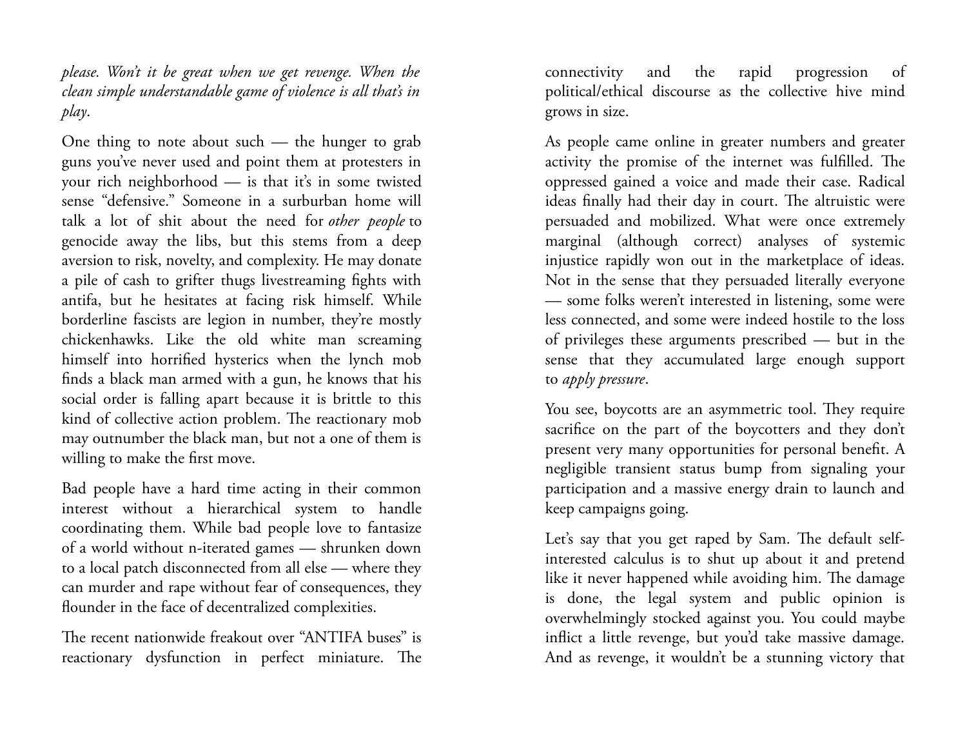*please. Won't it be great when we get revenge. When the clean simple understandable game of violence is all that's in play*.

One thing to note about such — the hunger to grab guns you've never used and point them at protesters in your rich neighborhood — is that it's in some twisted sense "defensive." Someone in a surburban home will talk a lot of shit about the need for *other people* to genocide away the libs, but this stems from a deep aversion to risk, novelty, and complexity. He may donate a pile of cash to grifter thugs livestreaming fights with antifa, but he hesitates at facing risk himself. While borderline fascists are legion in number, they're mostly chickenhawks. Like the old white man screaming himself into horrified hysterics when the lynch mob finds a black man armed with a gun, he knows that his social order is falling apart because it is brittle to this kind of collective action problem. The reactionary mob may outnumber the black man, but not a one of them is willing to make the first move.

Bad people have a hard time acting in their common interest without a hierarchical system to handle coordinating them. While bad people love to fantasize of a world without n-iterated games — shrunken down to a local patch disconnected from all else — where they can murder and rape without fear of consequences, they flounder in the face of decentralized complexities.

The recent nationwide freakout over "ANTIFA buses" is reactionary dysfunction in perfect miniature. The

connectivity and the rapid progression of political/ethical discourse as the collective hive mind grows in size.

As people came online in greater numbers and greater activity the promise of the internet was fulfilled. The oppressed gained a voice and made their case. Radical ideas finally had their day in court. The altruistic were persuaded and mobilized. What were once extremely marginal (although correct) analyses of systemic injustice rapidly won out in the marketplace of ideas. Not in the sense that they persuaded literally everyone — some folks weren't interested in listening, some were less connected, and some were indeed hostile to the loss of privileges these arguments prescribed — but in the sense that they accumulated large enough support to *apply pressure*.

You see, boycotts are an asymmetric tool. They require sacrifice on the part of the boycotters and they don't present very many opportunities for personal benefit. A negligible transient status bump from signaling your participation and a massive energy drain to launch and keep campaigns going.

Let's say that you get raped by Sam. The default selfinterested calculus is to shut up about it and pretend like it never happened while avoiding him. The damage is done, the legal system and public opinion is overwhelmingly stocked against you. You could maybe inflict a little revenge, but you'd take massive damage. And as revenge, it wouldn't be a stunning victory that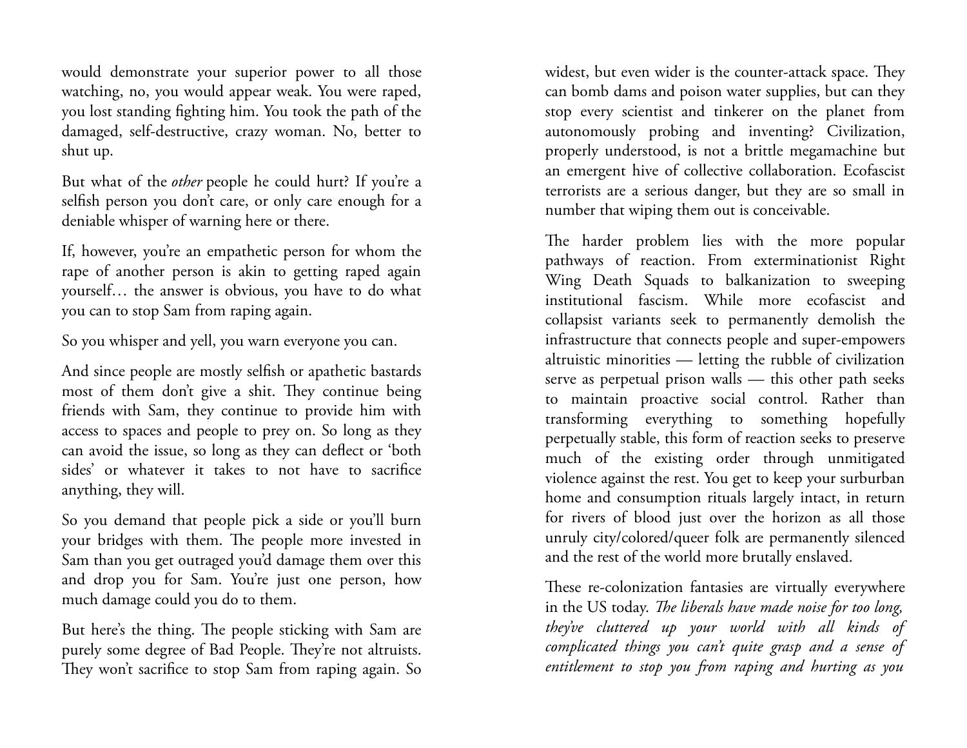would demonstrate your superior power to all those watching, no, you would appear weak. You were raped, you lost standing fighting him. You took the path of the damaged, self-destructive, crazy woman. No, better to shut up.

But what of the *other* people he could hurt? If you're a selfish person you don't care, or only care enough for a deniable whisper of warning here or there.

If, however, you're an empathetic person for whom the rape of another person is akin to getting raped again yourself… the answer is obvious, you have to do what you can to stop Sam from raping again.

So you whisper and yell, you warn everyone you can.

And since people are mostly selfish or apathetic bastards most of them don't give a shit. They continue being friends with Sam, they continue to provide him with access to spaces and people to prey on. So long as they can avoid the issue, so long as they can deflect or 'both sides' or whatever it takes to not have to sacrifice anything, they will.

So you demand that people pick a side or you'll burn your bridges with them. The people more invested in Sam than you get outraged you'd damage them over this and drop you for Sam. You're just one person, how much damage could you do to them.

But here's the thing. The people sticking with Sam are purely some degree of Bad People. They're not altruists. They won't sacrifice to stop Sam from raping again. So widest, but even wider is the counter-attack space. They can bomb dams and poison water supplies, but can they stop every scientist and tinkerer on the planet from autonomously probing and inventing? Civilization, properly understood, is not a brittle megamachine but an emergent hive of collective collaboration. Ecofascist terrorists are a serious danger, but they are so small in number that wiping them out is conceivable.

The harder problem lies with the more popular pathways of reaction. From exterminationist Right Wing Death Squads to balkanization to sweeping institutional fascism. While more ecofascist and collapsist variants seek to permanently demolish the infrastructure that connects people and super-empowers altruistic minorities — letting the rubble of civilization serve as perpetual prison walls — this other path seeks to maintain proactive social control. Rather than transforming everything to something hopefully perpetually stable, this form of reaction seeks to preserve much of the existing order through unmitigated violence against the rest. You get to keep your surburban home and consumption rituals largely intact, in return for rivers of blood just over the horizon as all those unruly city/colored/queer folk are permanently silenced and the rest of the world more brutally enslaved.

These re-colonization fantasies are virtually everywhere in the US today. *The liberals have made noise for too long, they've cluttered up your world with all kinds of complicated things you can't quite grasp and a sense of entitlement to stop you from raping and hurting as you*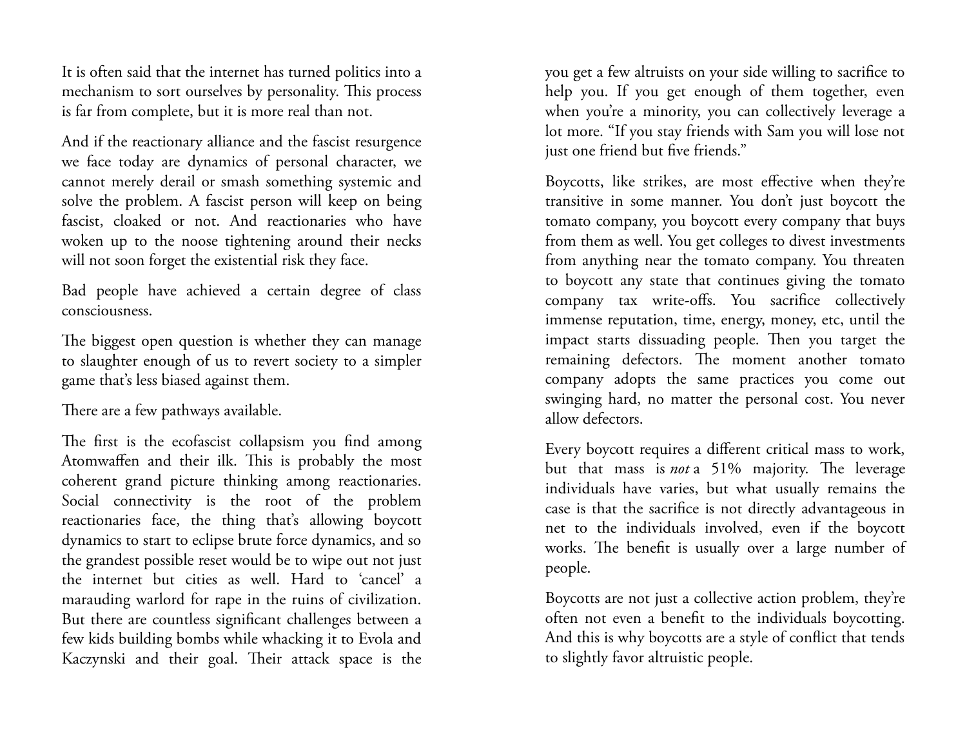It is often said that the internet has turned politics into a mechanism to sort ourselves by personality. This process is far from complete, but it is more real than not.

And if the reactionary alliance and the fascist resurgence we face today are dynamics of personal character, we cannot merely derail or smash something systemic and solve the problem. A fascist person will keep on being fascist, cloaked or not. And reactionaries who have woken up to the noose tightening around their necks will not soon forget the existential risk they face.

Bad people have achieved a certain degree of class consciousness.

The biggest open question is whether they can manage to slaughter enough of us to revert society to a simpler game that's less biased against them.

There are a few pathways available.

The first is the ecofascist collapsism you find among Atomwaffen and their ilk. This is probably the most coherent grand picture thinking among reactionaries. Social connectivity is the root of the problem reactionaries face, the thing that's allowing boycott dynamics to start to eclipse brute force dynamics, and so the grandest possible reset would be to wipe out not just the internet but cities as well. Hard to 'cancel' a marauding warlord for rape in the ruins of civilization. But there are countless significant challenges between a few kids building bombs while whacking it to Evola and Kaczynski and their goal. Their attack space is the

you get a few altruists on your side willing to sacrifice to help you. If you get enough of them together, even when you're a minority, you can collectively leverage a lot more. "If you stay friends with Sam you will lose not just one friend but five friends."

Boycotts, like strikes, are most effective when they're transitive in some manner. You don't just boycott the tomato company, you boycott every company that buys from them as well. You get colleges to divest investments from anything near the tomato company. You threaten to boycott any state that continues giving the tomato company tax write-offs. You sacrifice collectively immense reputation, time, energy, money, etc, until the impact starts dissuading people. Then you target the remaining defectors. The moment another tomato company adopts the same practices you come out swinging hard, no matter the personal cost. You never allow defectors.

Every boycott requires a different critical mass to work, but that mass is *not* a 51% majority. The leverage individuals have varies, but what usually remains the case is that the sacrifice is not directly advantageous in net to the individuals involved, even if the boycott works. The benefit is usually over a large number of people.

Boycotts are not just a collective action problem, they're often not even a benefit to the individuals boycotting. And this is why boycotts are a style of conflict that tends to slightly favor altruistic people.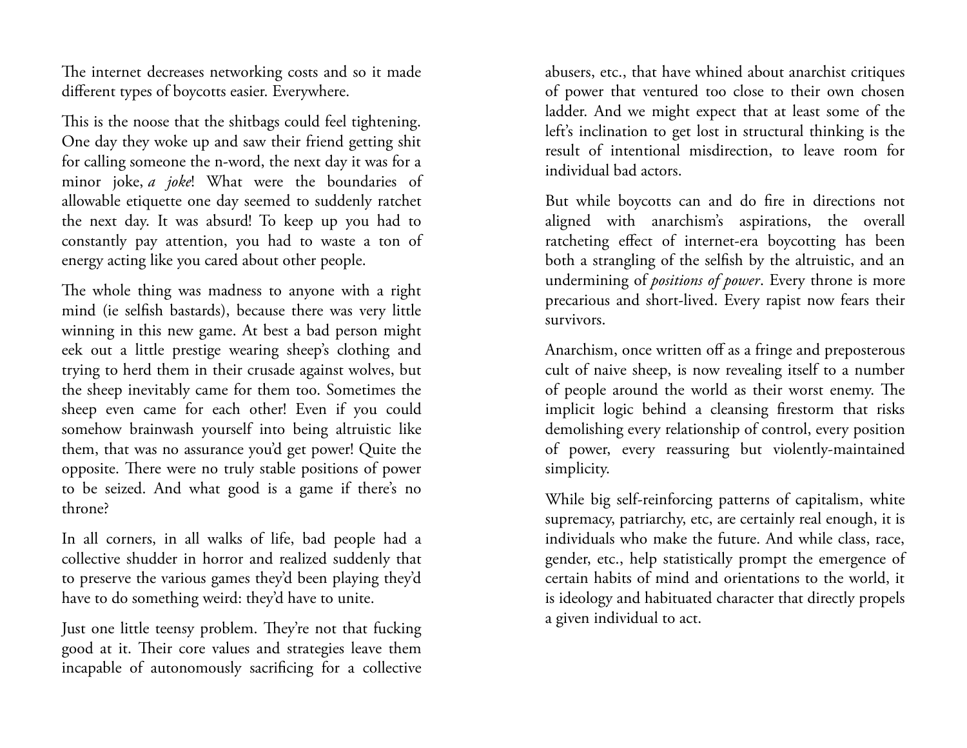The internet decreases networking costs and so it made different types of boycotts easier. Everywhere.

This is the noose that the shitbags could feel tightening. One day they woke up and saw their friend getting shit for calling someone the n-word, the next day it was for a minor joke, *a joke*! What were the boundaries of allowable etiquette one day seemed to suddenly ratchet the next day. It was absurd! To keep up you had to constantly pay attention, you had to waste a ton of energy acting like you cared about other people.

The whole thing was madness to anyone with a right mind (ie selfish bastards), because there was very little winning in this new game. At best a bad person might eek out a little prestige wearing sheep's clothing and trying to herd them in their crusade against wolves, but the sheep inevitably came for them too. Sometimes the sheep even came for each other! Even if you could somehow brainwash yourself into being altruistic like them, that was no assurance you'd get power! Quite the opposite. There were no truly stable positions of power to be seized. And what good is a game if there's no throne?

In all corners, in all walks of life, bad people had a collective shudder in horror and realized suddenly that to preserve the various games they'd been playing they'd have to do something weird: they'd have to unite.

Just one little teensy problem. They're not that fucking good at it. Their core values and strategies leave them incapable of autonomously sacrificing for a collective abusers, etc., that have whined about anarchist critiques of power that ventured too close to their own chosen ladder. And we might expect that at least some of the left's inclination to get lost in structural thinking is the result of intentional misdirection, to leave room for individual bad actors.

But while boycotts can and do fire in directions not aligned with anarchism's aspirations, the overall ratcheting effect of internet-era boycotting has been both a strangling of the selfish by the altruistic, and an undermining of *positions of power*. Every throne is more precarious and short-lived. Every rapist now fears their survivors.

Anarchism, once written off as a fringe and preposterous cult of naive sheep, is now revealing itself to a number of people around the world as their worst enemy. The implicit logic behind a cleansing firestorm that risks demolishing every relationship of control, every position of power, every reassuring but violently-maintained simplicity.

While big self-reinforcing patterns of capitalism, white supremacy, patriarchy, etc, are certainly real enough, it is individuals who make the future. And while class, race, gender, etc., help statistically prompt the emergence of certain habits of mind and orientations to the world, it is ideology and habituated character that directly propels a given individual to act.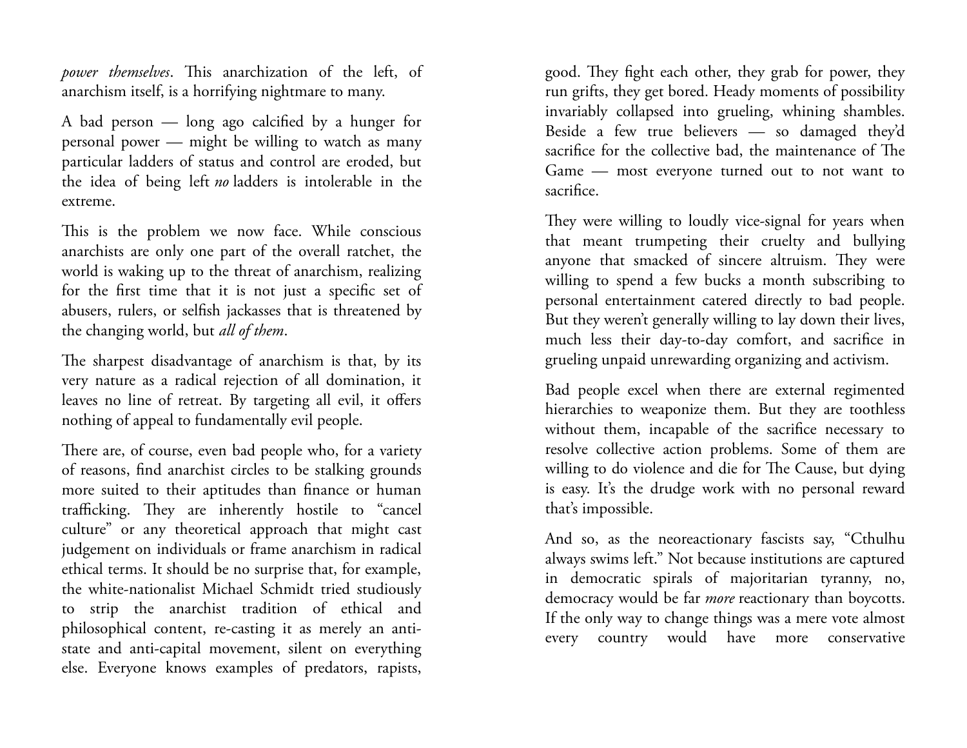*power themselves*. This anarchization of the left, of anarchism itself, is a horrifying nightmare to many.

A bad person — long ago calcified by a hunger for personal power — might be willing to watch as many particular ladders of status and control are eroded, but the idea of being left *no* ladders is intolerable in the extreme.

This is the problem we now face. While conscious anarchists are only one part of the overall ratchet, the world is waking up to the threat of anarchism, realizing for the first time that it is not just a specific set of abusers, rulers, or selfish jackasses that is threatened by the changing world, but *all of them*.

The sharpest disadvantage of anarchism is that, by its very nature as a radical rejection of all domination, it leaves no line of retreat. By targeting all evil, it offers nothing of appeal to fundamentally evil people.

There are, of course, even bad people who, for a variety of reasons, find anarchist circles to be stalking grounds more suited to their aptitudes than finance or human trafficking. They are inherently hostile to "cancel culture" or any theoretical approach that might cast judgement on individuals or frame anarchism in radical ethical terms. It should be no surprise that, for example, the white-nationalist Michael Schmidt tried studiously to strip the anarchist tradition of ethical and philosophical content, re-casting it as merely an antistate and anti-capital movement, silent on everything else. Everyone knows examples of predators, rapists,

good. They fight each other, they grab for power, they run grifts, they get bored. Heady moments of possibility invariably collapsed into grueling, whining shambles. Beside a few true believers — so damaged they'd sacrifice for the collective bad, the maintenance of The Game — most everyone turned out to not want to sacrifice.

They were willing to loudly vice-signal for years when that meant trumpeting their cruelty and bullying anyone that smacked of sincere altruism. They were willing to spend a few bucks a month subscribing to personal entertainment catered directly to bad people. But they weren't generally willing to lay down their lives, much less their day-to-day comfort, and sacrifice in grueling unpaid unrewarding organizing and activism.

Bad people excel when there are external regimented hierarchies to weaponize them. But they are toothless without them, incapable of the sacrifice necessary to resolve collective action problems. Some of them are willing to do violence and die for The Cause, but dying is easy. It's the drudge work with no personal reward that's impossible.

And so, as the neoreactionary fascists say, "Cthulhu always swims left." Not because institutions are captured in democratic spirals of majoritarian tyranny, no, democracy would be far *more* reactionary than boycotts. If the only way to change things was a mere vote almost every country would have more conservative